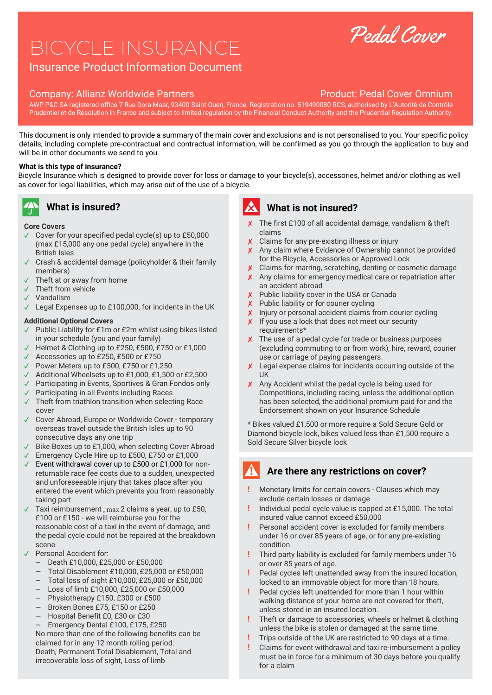# BICYCLE INSURANCE

# Insurance Product Information Document

#### Company: Allianz Worldwide Partners **Product: Pedal Cover Omnium**

AWP P&C SA registered office 7 Rue Dora Maar, 93400 Saint-Ouen, France. Registration no. 519490080 RCS, authorised by L'Autorité de Contrôle Prudentiel et de Résolution in France and subject to limited regulation by the Financial Conduct Authority and the Prudential Regulation Authority.

This document is only intended to provide a summary of the main cover and exclusions and is not personalised to you. Your specific policy details, including complete pre-contractual and contractual information, will be confirmed as you go through the application to buy and will be in other documents we send to you.

### **What is this type of insurance?**

Bicycle Insurance which is designed to provide cover for loss or damage to your bicycle(s), accessories, helmet and/or clothing as well as cover for legal liabilities, which may arise out of the use of a bicycle.

# **What is insured?**

#### **Core Covers**

- $\checkmark$  Cover for your specified pedal cycle(s) up to £50,000 (max £15,000 any one pedal cycle) anywhere in the British Isles
- ✔ Crash & accidental damage (policyholder & their family members)
- Theft at or away from home
- ✔ Theft from vehicle
- ✔ Vandalism
- ✔ Legal Expenses up to £100,000, for incidents in the UK

#### **Additional Optional Covers**

- ✔ Public Liability for £1m or £2m whilst using bikes listed in your schedule (you and your family)
- Helmet & Clothing up to £250, £500, £750 or £1,000
- ✔ Accessories up to £250, £500 or £750
- ✔ Power Meters up to £500, £750 or £1,250
- ✔ Additional Wheelsets up to £1,000, £1,500 or £2,500
- ✔ Participating in Events, Sportives & Gran Fondos only
- ✔ Participating in all Events including Races
- $\checkmark$  Theft from triathlon transition when selecting Race cover
- ✔ Cover Abroad, Europe or Worldwide Cover temporary overseas travel outside the British Isles up to 90 consecutive days any one trip
- ✔ Bike Boxes up to £1,000, when selecting Cover Abroad
- ✔ Emergency Cycle Hire up to £500, £750 or £1,000
- ✔ Event withdrawal cover up to £500 or £1,000 for nonreturnable race fee costs due to a sudden, unexpected and unforeseeable injury that takes place after you entered the event which prevents you from reasonably taking part
- $\checkmark$  Taxi reimbursement, max 2 claims a year, up to £50, £100 or £150 - we will reimburse you for the reasonable cost of a taxi in the event of damage, and the pedal cycle could not be repaired at the breakdown scene
- ✔ Personal Accident for:
	- Death £10,000, £25,000 or £50,000
	- Total Disablement £10,000, £25,000 or £50,000
	- Total loss of sight £10,000, £25,000 or £50,000
	- Loss of limb £10,000, £25,000 or £50,000
	- Physiotherapy £150, £300 or £500
	- Broken Bones £75, £150 or £250
	- Hospital Benefit £0, £30 or £30

Emergency Dental £100, £175, £250 No more than one of the following benefits can be claimed for in any 12 month rolling period: Death, Permanent Total Disablement, Total and irrecoverable loss of sight, Loss of limb

# **What is not insured?**

- ✘ The first £100 of all accidental damage, vandalism & theft claims
- ✘ Claims for any pre-existing illness or injury
- ✘ Any claim where Evidence of Ownership cannot be provided for the Bicycle, Accessories or Approved Lock
- Claims for marring, scratching, denting or cosmetic damage
- ✘ Any claims for emergency medical care or repatriation after an accident abroad
- ✘ Public liability cover in the USA or Canada
- ✘ Public liability or for courier cycling
- ✘ Injury or personal accident claims from courier cycling
- X If you use a lock that does not meet our security requirements\*
- ✘ The use of a pedal cycle for trade or business purposes (excluding commuting to or from work), hire, reward, courier use or carriage of paying passengers.
- ✘ Legal expense claims for incidents occurring outside of the UK
- ✘ Any Accident whilst the pedal cycle is being used for Competitions, including racing, unless the additional option has been selected, the additional premium paid for and the Endorsement shown on your Insurance Schedule

\* Bikes valued £1,500 or more require a Sold Secure Gold or Diamond bicycle lock, bikes valued less than £1,500 require a Sold Secure Silver bicycle lock

# **Are there any restrictions on cover?**

- **!** Monetary limits for certain covers Clauses which may exclude certain losses or damage
- **!** Individual pedal cycle value is capped at £15,000. The total insured value cannot exceed £50,000
- **!** Personal accident cover is excluded for family members under 16 or over 85 years of age, or for any pre-existing condition.
- **!** Third party liability is excluded for family members under 16 or over 85 years of age.
- **!** Pedal cycles left unattended away from the insured location, locked to an immovable object for more than 18 hours.
- **!** Pedal cycles left unattended for more than 1 hour within walking distance of your home are not covered for theft, unless stored in an insured location.
- **!** Theft or damage to accessories, wheels or helmet & clothing unless the bike is stolen or damaged at the same time.
- **!** Trips outside of the UK are restricted to 90 days at a time.
- **!** Claims for event withdrawal and taxi re-imbursement a policy must be in force for a minimum of 30 days before you qualify for a claim